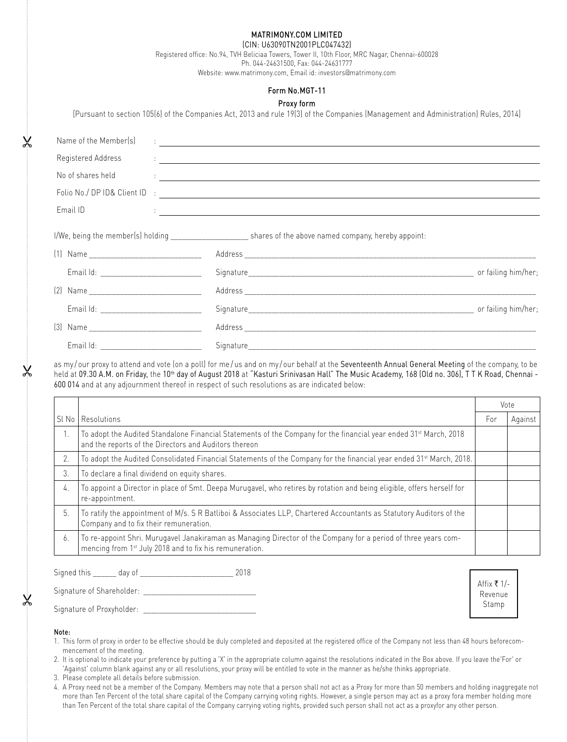# Matrimony.com Limited

(CIN: U63090TN2001PLC047432) Registered office: No.94, TVH Beliciaa Towers, Tower II, 10th Floor, MRC Nagar, Chennai-600028

Ph. 044-24631500, Fax: 044-24631777

Website: www.matrimony.com, Email id: investors@matrimony.com

## Form No.MGT-11

## Proxy form

[Pursuant to section 105(6) of the Companies Act, 2013 and rule 19(3) of the Companies (Management and Administration) Rules, 2014]

| Name of the Member(s)                       | <u> 1986 - Andrea Andrew Maria (h. 1986).</u><br>Arte de Arte de Carlos (h. 1986).                                                                                                                                             |  |
|---------------------------------------------|--------------------------------------------------------------------------------------------------------------------------------------------------------------------------------------------------------------------------------|--|
| Registered Address                          | <u> 1965 - Jan Alexandria de Alexandria de la contrada de la contrada de la contrada de la contrada de la contrad</u>                                                                                                          |  |
|                                             | No of shares held research to the contract of the state of the state of the state of the state of the state of the state of the state of the state of the state of the state of the state of the state of the state of the sta |  |
|                                             |                                                                                                                                                                                                                                |  |
| Email ID                                    | <u> 1965 - Jan Samuel Barbara, martin a shekara 1965 - An tsara 1965 - An tsara 1965 - An tsara 1965 - An tsara</u>                                                                                                            |  |
|                                             | I/We, being the member(s) holding _______________________ shares of the above named company, hereby appoint:                                                                                                                   |  |
|                                             |                                                                                                                                                                                                                                |  |
| Email Id: _______________________________   |                                                                                                                                                                                                                                |  |
|                                             |                                                                                                                                                                                                                                |  |
| Email Id: _________________________________ |                                                                                                                                                                                                                                |  |
|                                             |                                                                                                                                                                                                                                |  |
| Email Id:                                   | Signature                                                                                                                                                                                                                      |  |

as my/our proxy to attend and vote (on a poll) for me/us and on my/our behalf at the Seventeenth Annual General Meeting of the company, to be held at 09.30 A.M. on Friday, the 10<sup>th</sup> day of August 2018 at "Kasturi Srinivasan Hall" The Music Academy, 168 (Old no. 306), T T K Road, Chennai -600 014 and at any adjournment thereof in respect of such resolutions as are indicated below:

|       |                                                                                                                                                                                        |     | Vote    |  |
|-------|----------------------------------------------------------------------------------------------------------------------------------------------------------------------------------------|-----|---------|--|
| SI No | Resolutions                                                                                                                                                                            | For | Against |  |
| 1.    | To adopt the Audited Standalone Financial Statements of the Company for the financial year ended 31 <sup>st</sup> March, 2018<br>and the reports of the Directors and Auditors thereon |     |         |  |
| 2.    | To adopt the Audited Consolidated Financial Statements of the Company for the financial year ended 31 <sup>st</sup> March, 2018.                                                       |     |         |  |
| 3.    | To declare a final dividend on equity shares.                                                                                                                                          |     |         |  |
| 4.    | To appoint a Director in place of Smt. Deepa Murugavel, who retires by rotation and being eligible, offers herself for<br>re-appointment.                                              |     |         |  |
| 5.    | To ratify the appointment of M/s. S R Batliboi & Associates LLP, Chartered Accountants as Statutory Auditors of the<br>Company and to fix their remuneration.                          |     |         |  |
| 6.    | To re-appoint Shri. Murugavel Janakiraman as Managing Director of the Company for a period of three years com-<br>mencing from 1 <sup>st</sup> July 2018 and to fix his remuneration.  |     |         |  |

| Sianed this<br>ામારુ | ua' |  |
|----------------------|-----|--|
|                      |     |  |

Signature of Shareholder:

Signature of Proxyholder: \_

Affix  $\bar{\tau}$  1/-Revenue Stamp

#### Note:

&

 $\pmb{\times}$ 

&

- 1. This form of proxy in order to be effective should be duly completed and deposited at the registered office of the Company not less than 48 hours beforecommencement of the meeting.
- 2. It is optional to indicate your preference by putting a 'X' in the appropriate column against the resolutions indicated in the Box above. If you leave the'For' or 'Against' column blank against any or all resolutions, your proxy will be entitled to vote in the manner as he/she thinks appropriate.
- 3. Please complete all details before submission.
- 4. A Proxy need not be a member of the Company. Members may note that a person shall not act as a Proxy for more than 50 members and holding inaggregate not more than Ten Percent of the total share capital of the Company carrying voting rights. However, a single person may act as a proxy fora member holding more than Ten Percent of the total share capital of the Company carrying voting rights, provided such person shall not act as a proxyfor any other person.